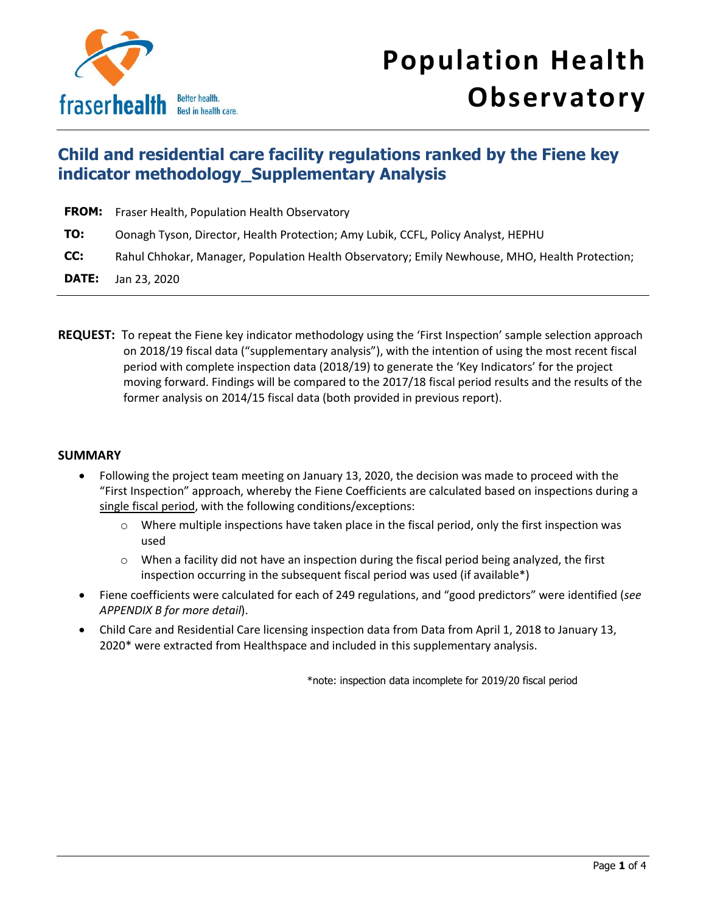

# **Child and residential care facility regulations ranked by the Fiene key indicator methodology\_Supplementary Analysis**

|              | <b>FROM:</b> Fraser Health, Population Health Observatory                                      |
|--------------|------------------------------------------------------------------------------------------------|
| TO:          | Oonagh Tyson, Director, Health Protection; Amy Lubik, CCFL, Policy Analyst, HEPHU              |
| CC:          | Rahul Chhokar, Manager, Population Health Observatory; Emily Newhouse, MHO, Health Protection; |
| <b>DATE:</b> | Jan 23, 2020                                                                                   |

**REQUEST:** To repeat the Fiene key indicator methodology using the 'First Inspection' sample selection approach on 2018/19 fiscal data ("supplementary analysis"), with the intention of using the most recent fiscal period with complete inspection data (2018/19) to generate the 'Key Indicators' for the project moving forward. Findings will be compared to the 2017/18 fiscal period results and the results of the former analysis on 2014/15 fiscal data (both provided in previous report).

### **SUMMARY**

- Following the project team meeting on January 13, 2020, the decision was made to proceed with the "First Inspection" approach, whereby the Fiene Coefficients are calculated based on inspections during a single fiscal period, with the following conditions/exceptions:
	- $\circ$  Where multiple inspections have taken place in the fiscal period, only the first inspection was used
	- $\circ$  When a facility did not have an inspection during the fiscal period being analyzed, the first inspection occurring in the subsequent fiscal period was used (if available\*)
- Fiene coefficients were calculated for each of 249 regulations, and "good predictors" were identified (*see APPENDIX B for more detail*).
- Child Care and Residential Care licensing inspection data from Data from April 1, 2018 to January 13, 2020\* were extracted from Healthspace and included in this supplementary analysis.

\*note: inspection data incomplete for 2019/20 fiscal period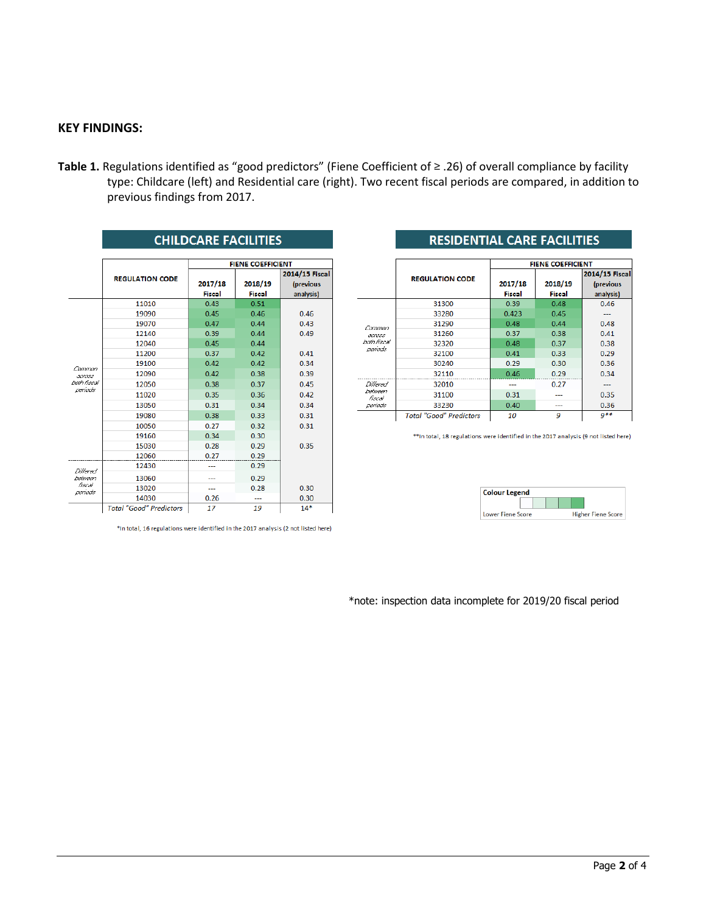**Table 1.** Regulations identified as "good predictors" (Fiene Coefficient of ≥ .26) of overall compliance by facility type: Childcare (left) and Residential care (right). Two recent fiscal periods are compared, in addition to previous findings from 2017.

|                         | <b>CHILDCARE FACILITIES</b>    |                          |         |                |  |
|-------------------------|--------------------------------|--------------------------|---------|----------------|--|
|                         |                                | <b>FIENE COEFFICIENT</b> |         |                |  |
|                         |                                |                          |         |                |  |
|                         | <b>REGULATION CODE</b>         |                          |         | 2014/15 Fiscal |  |
|                         |                                | 2017/18                  | 2018/19 | (previous      |  |
|                         |                                | Fiscal                   | Fiscal  | analysis)      |  |
|                         | 11010                          | 0.43                     | 0.51    |                |  |
|                         | 19090                          | 0.45                     | 0.46    | 0.46           |  |
|                         | 19070                          | 0.47                     | 0.44    | 0.43           |  |
|                         | 12140                          | 0.39                     | 0.44    | 0.49           |  |
|                         | 12040                          | 0.45                     | 0.44    |                |  |
|                         | 11200                          | 0.37                     | 0.42    | 0.41           |  |
|                         | 19100                          | 0.42                     | 0.42    | 0.34           |  |
| Common<br><b>JUNESE</b> | 12090                          | 0.42                     | 0.38    | 0.39           |  |
| both fiscal             | 12050                          | 0.38                     | 0.37    | 0.45           |  |
| periods                 | 11020                          | 0.35                     | 0.36    | 0.42           |  |
|                         | 13050                          | 0.31                     | 0.34    | 0.34           |  |
|                         | 19080                          | 0.38                     | 0.33    | 0.31           |  |
|                         | 10050                          | 0.27                     | 0.32    | 0.31           |  |
|                         | 19160                          | 0.34                     | 0.30    |                |  |
|                         | 15030                          | 0.28                     | 0.29    | 0.35           |  |
|                         | 12060                          | 0.27                     | 0.29    |                |  |
| Different               | 12430                          |                          | 0.29    |                |  |
| between                 | 13060                          |                          | 0.29    |                |  |
| fiscal<br>periode       | 13020                          |                          | 0.28    | 0.30           |  |
|                         | 14030                          | 0.26                     |         | 0.30           |  |
|                         | <b>Total "Good" Predictors</b> | 17                       | 19      | $14*$          |  |

\*In total, 16 regulations were identified in the 2017 analysis (2 not listed here)

\*note: inspection data incomplete for 2019/20 fiscal period

# **RESIDENTIAL CARE FACILITIES**

|                   |                                | <b>FIENE COEFFICIENT</b> |         |                |
|-------------------|--------------------------------|--------------------------|---------|----------------|
|                   | <b>REGULATION CODE</b>         |                          |         | 2014/15 Fiscal |
|                   |                                | 2017/18                  | 2018/19 | (previous      |
|                   |                                | Fiscal                   | Fiscal  | analysis)      |
|                   | 31300                          | 0.39                     | 0.48    | 0.46           |
|                   | 33280                          | 0.423                    | 0.45    |                |
| Camman            | 31290                          | 0.48                     | 0.44    | 0.48           |
| 300033            | 31260                          | 0.37                     | 0.38    | 0.41           |
| both fiscal       | 32320                          | 0.48                     | 0.37    | 0.38           |
| periods           | 32100                          | 0.41                     | 0.33    | 0.29           |
|                   | 30240                          | 0.29                     | 0.30    | 0.36           |
|                   | 32110                          | 0.46                     | 0.29    | 0.34           |
| Different         | 32010                          | ---                      | 0.27    | ---            |
| belween<br>fiscal | 31100                          | 0.31                     | ---     | 0.35           |
| periods           | 33230                          | 0.40                     | ---     | 0.36           |
|                   | <b>Total "Good" Predictors</b> | 10                       | 9       | $9**$          |

\*\* In total, 18 regulations were identified in the 2017 analysis (9 not listed here)

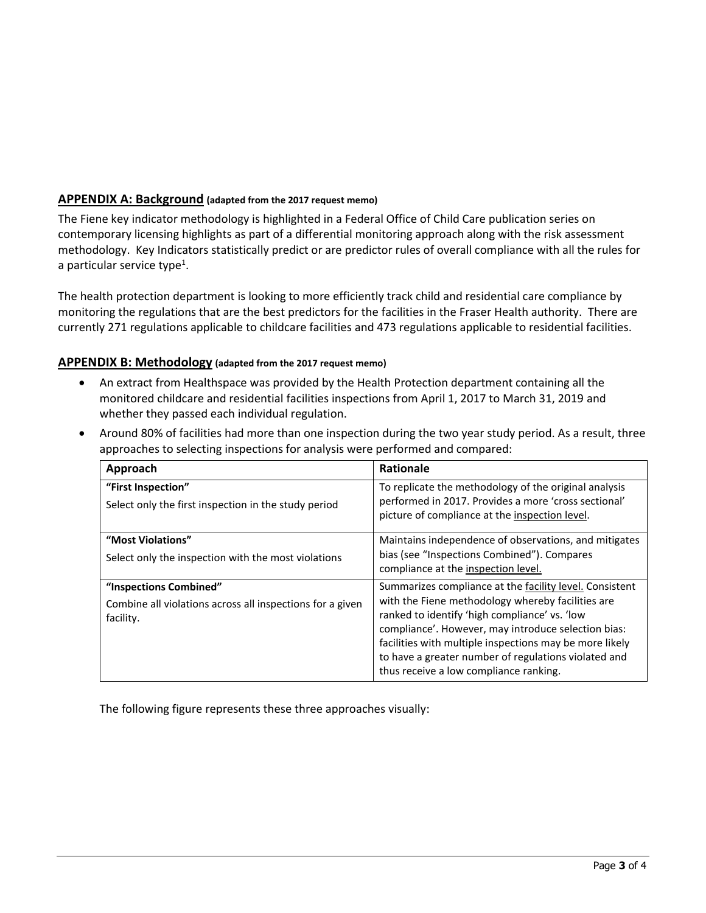## **APPENDIX A: Background (adapted from the 2017 request memo)**

The Fiene key indicator methodology is highlighted in a Federal Office of Child Care publication series on contemporary licensing highlights as part of a differential monitoring approach along with the risk assessment methodology. Key Indicators statistically predict or are predictor rules of overall compliance with all the rules for a particular service type<sup>1</sup>.

The health protection department is looking to more efficiently track child and residential care compliance by monitoring the regulations that are the best predictors for the facilities in the Fraser Health authority. There are currently 271 regulations applicable to childcare facilities and 473 regulations applicable to residential facilities.

### **APPENDIX B: Methodology (adapted from the 2017 request memo)**

- An extract from Healthspace was provided by the Health Protection department containing all the monitored childcare and residential facilities inspections from April 1, 2017 to March 31, 2019 and whether they passed each individual regulation.
- Around 80% of facilities had more than one inspection during the two year study period. As a result, three approaches to selecting inspections for analysis were performed and compared:

| Approach                                                                                         | <b>Rationale</b>                                                                                                                                                                                                                                                                                                                                                                  |
|--------------------------------------------------------------------------------------------------|-----------------------------------------------------------------------------------------------------------------------------------------------------------------------------------------------------------------------------------------------------------------------------------------------------------------------------------------------------------------------------------|
| "First Inspection"<br>Select only the first inspection in the study period                       | To replicate the methodology of the original analysis<br>performed in 2017. Provides a more 'cross sectional'<br>picture of compliance at the inspection level.                                                                                                                                                                                                                   |
| "Most Violations"<br>Select only the inspection with the most violations                         | Maintains independence of observations, and mitigates<br>bias (see "Inspections Combined"). Compares<br>compliance at the inspection level.                                                                                                                                                                                                                                       |
| "Inspections Combined"<br>Combine all violations across all inspections for a given<br>facility. | Summarizes compliance at the facility level. Consistent<br>with the Fiene methodology whereby facilities are<br>ranked to identify 'high compliance' vs. 'low<br>compliance'. However, may introduce selection bias:<br>facilities with multiple inspections may be more likely<br>to have a greater number of regulations violated and<br>thus receive a low compliance ranking. |

The following figure represents these three approaches visually: